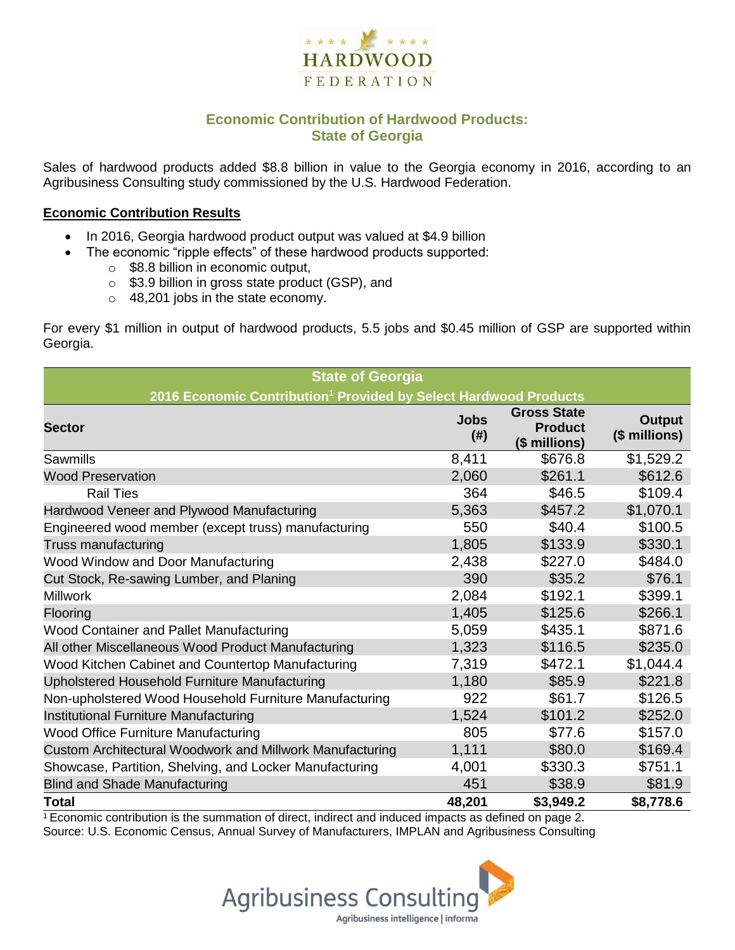

## **Economic Contribution of Hardwood Products: State of Georgia**

Sales of hardwood products added \$8.8 billion in value to the Georgia economy in 2016, according to an Agribusiness Consulting study commissioned by the U.S. Hardwood Federation.

#### **Economic Contribution Results**

- In 2016, Georgia hardwood product output was valued at \$4.9 billion
	- The economic "ripple effects" of these hardwood products supported:
		- o \$8.8 billion in economic output,
		- o \$3.9 billion in gross state product (GSP), and
		- o 48,201 jobs in the state economy.

For every \$1 million in output of hardwood products, 5.5 jobs and \$0.45 million of GSP are supported within Georgia.

| <b>State of Georgia</b>                                                      |                     |                                                       |                                |  |  |  |
|------------------------------------------------------------------------------|---------------------|-------------------------------------------------------|--------------------------------|--|--|--|
| 2016 Economic Contribution <sup>1</sup> Provided by Select Hardwood Products |                     |                                                       |                                |  |  |  |
| <b>Sector</b>                                                                | <b>Jobs</b><br>(# ) | <b>Gross State</b><br><b>Product</b><br>(\$ millions) | <b>Output</b><br>(\$ millions) |  |  |  |
| Sawmills                                                                     | 8,411               | \$676.8                                               | \$1,529.2                      |  |  |  |
| <b>Wood Preservation</b>                                                     | 2,060               | \$261.1                                               | \$612.6                        |  |  |  |
| <b>Rail Ties</b>                                                             | 364                 | \$46.5                                                | \$109.4                        |  |  |  |
| Hardwood Veneer and Plywood Manufacturing                                    | 5,363               | \$457.2                                               | \$1,070.1                      |  |  |  |
| Engineered wood member (except truss) manufacturing                          | 550                 | \$40.4                                                | \$100.5                        |  |  |  |
| Truss manufacturing                                                          | 1,805               | \$133.9                                               | \$330.1                        |  |  |  |
| Wood Window and Door Manufacturing                                           | 2,438               | \$227.0                                               | \$484.0                        |  |  |  |
| Cut Stock, Re-sawing Lumber, and Planing                                     | 390                 | \$35.2                                                | \$76.1                         |  |  |  |
| <b>Millwork</b>                                                              | 2,084               | \$192.1                                               | \$399.1                        |  |  |  |
| Flooring                                                                     | 1,405               | \$125.6                                               | \$266.1                        |  |  |  |
| <b>Wood Container and Pallet Manufacturing</b>                               | 5,059               | \$435.1                                               | \$871.6                        |  |  |  |
| All other Miscellaneous Wood Product Manufacturing                           | 1,323               | \$116.5                                               | \$235.0                        |  |  |  |
| Wood Kitchen Cabinet and Countertop Manufacturing                            | 7,319               | \$472.1                                               | \$1,044.4                      |  |  |  |
| Upholstered Household Furniture Manufacturing                                | 1,180               | \$85.9                                                | \$221.8                        |  |  |  |
| Non-upholstered Wood Household Furniture Manufacturing                       | 922                 | \$61.7                                                | \$126.5                        |  |  |  |
| Institutional Furniture Manufacturing                                        | 1,524               | \$101.2                                               | \$252.0                        |  |  |  |
| Wood Office Furniture Manufacturing                                          | 805                 | \$77.6                                                | \$157.0                        |  |  |  |
| Custom Architectural Woodwork and Millwork Manufacturing                     | 1,111               | \$80.0                                                | \$169.4                        |  |  |  |
| Showcase, Partition, Shelving, and Locker Manufacturing                      | 4,001               | \$330.3                                               | \$751.1                        |  |  |  |
| <b>Blind and Shade Manufacturing</b>                                         | 451                 | \$38.9                                                | \$81.9                         |  |  |  |
| <b>Total</b>                                                                 | 48,201              | \$3,949.2                                             | \$8,778.6                      |  |  |  |

 $1$  Economic contribution is the summation of direct, indirect and induced impacts as defined on page 2. Source: U.S. Economic Census, Annual Survey of Manufacturers, IMPLAN and Agribusiness Consulting